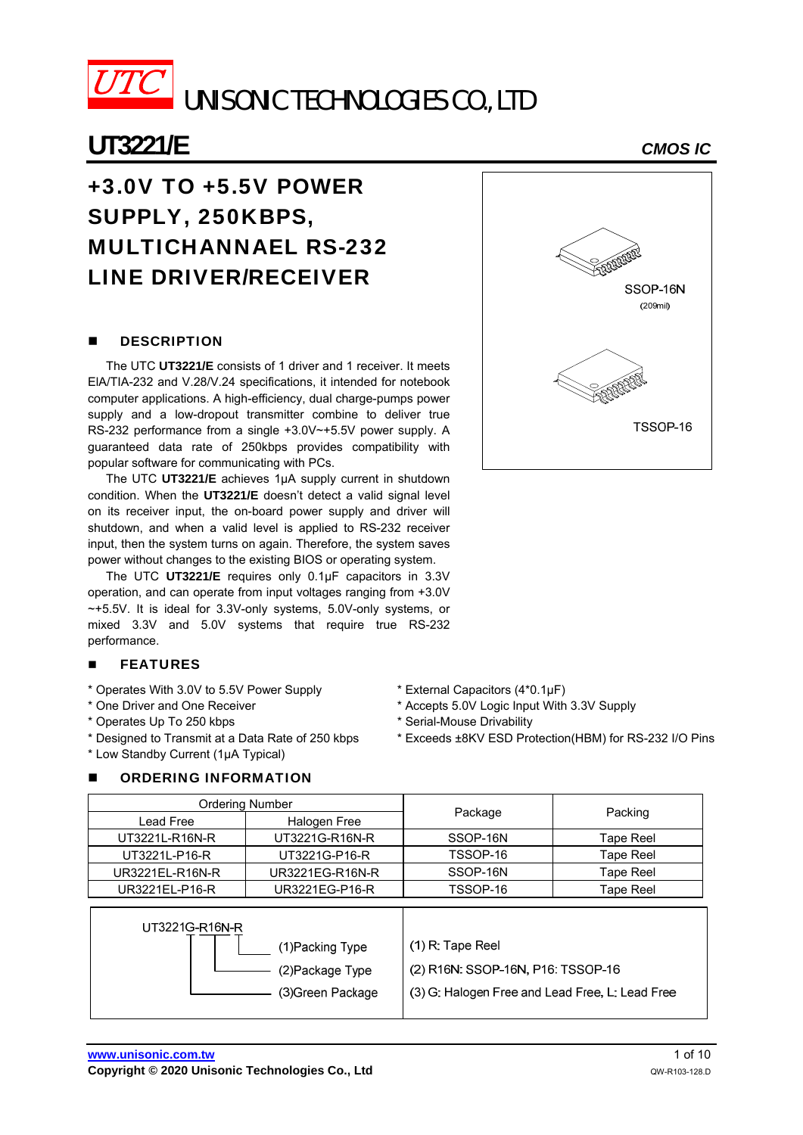

# **UT3221/E** *CMOS IC*

# +3.0V TO +5.5V POWER SUPPLY, 250KBPS, MULTICHANNAEL RS-232 LINE DRIVER/RECEIVER

## **DESCRIPTION**

The UTC **UT3221/E** consists of 1 driver and 1 receiver. It meets ElA/TIA-232 and V.28/V.24 specifications, it intended for notebook computer applications. A high-efficiency, dual charge-pumps power supply and a low-dropout transmitter combine to deliver true RS-232 performance from a single +3.0V~+5.5V power supply. A guaranteed data rate of 250kbps provides compatibility with popular software for communicating with PCs.

The UTC **UT3221/E** achieves 1µA supply current in shutdown condition. When the **UT3221/E** doesn't detect a valid signal level on its receiver input, the on-board power supply and driver will shutdown, and when a valid level is applied to RS-232 receiver input, then the system turns on again. Therefore, the system saves power without changes to the existing BIOS or operating system.

The UTC **UT3221/E** requires only 0.1µF capacitors in 3.3V operation, and can operate from input voltages ranging from +3.0V ~+5.5V. It is ideal for 3.3V-only systems, 5.0V-only systems, or mixed 3.3V and 5.0V systems that require true RS-232 performance.

#### **FEATURES**

- \* Operates With 3.0V to 5.5V Power Supply
- \* One Driver and One Receiver
- \* Operates Up To 250 kbps
- \* Designed to Transmit at a Data Rate of 250 kbps
- \* Low Standby Current (1µA Typical)

### ORDERING INFORMATION

- \* External Capacitors (4\*0.1µF)
- \* Accepts 5.0V Logic Input With 3.3V Supply
- \* Serial-Mouse Drivability
- \* Exceeds ±8KV ESD Protection(HBM) for RS-232 I/O Pins

| Ordering Number |                 |          |           |  |
|-----------------|-----------------|----------|-----------|--|
| Lead Free       | Halogen Free    | Package  | Packing   |  |
| UT3221L-R16N-R  | UT3221G-R16N-R  | SSOP-16N | Tape Reel |  |
| UT3221L-P16-R   | UT3221G-P16-R   | TSSOP-16 | Tape Reel |  |
| UR3221EL-R16N-R | UR3221EG-R16N-R | SSOP-16N | Tape Reel |  |
| UR3221EL-P16-R  | UR3221EG-P16-R  | TSSOP-16 | Tape Reel |  |

| UT3221G-R16N-R    |                                                 |
|-------------------|-------------------------------------------------|
| (1)Packing Type   | $(1)$ R: Tape Reel                              |
| (2) Package Type  | (2) R16N: SSOP-16N, P16: TSSOP-16               |
| (3) Green Package | (3) G: Halogen Free and Lead Free, L: Lead Free |
|                   |                                                 |



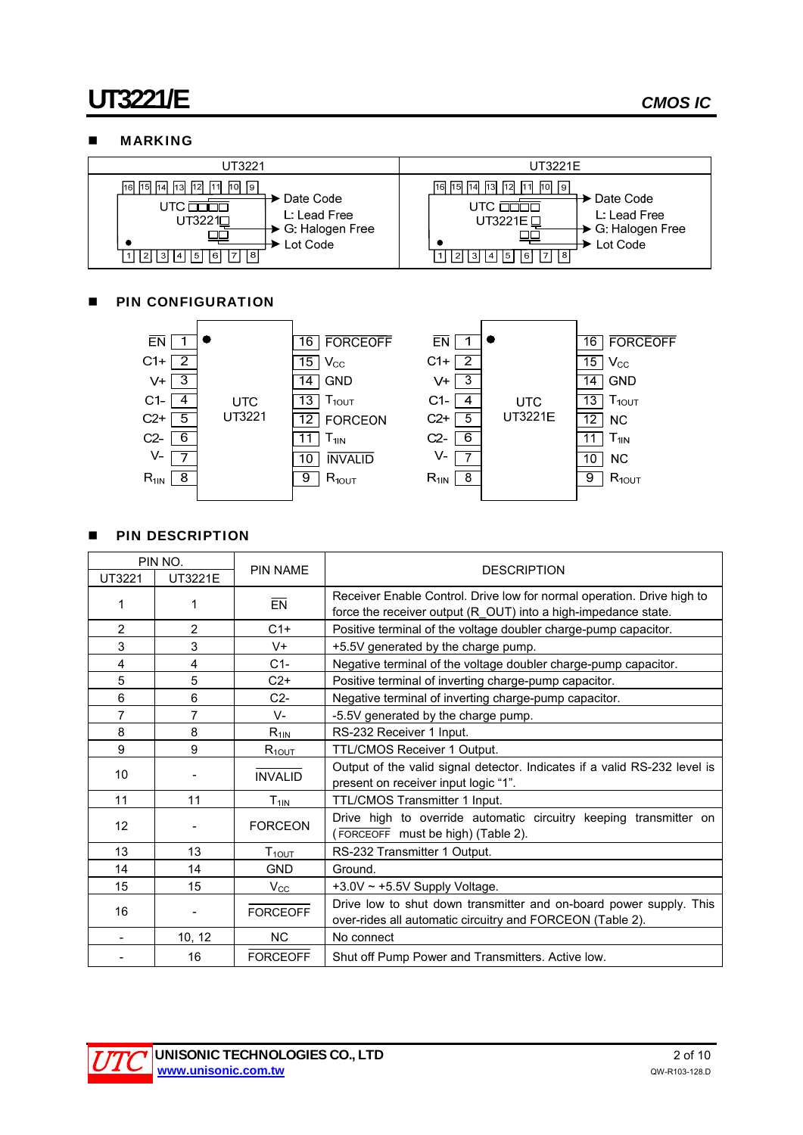## **MARKING**

| UT3221                                                                                                                                                                                        | UT3221E                                                                                                                                                                        |  |  |
|-----------------------------------------------------------------------------------------------------------------------------------------------------------------------------------------------|--------------------------------------------------------------------------------------------------------------------------------------------------------------------------------|--|--|
| 16 15 14 13 12 11 10 19<br>$\blacktriangleright$ Date Code<br>utc <del>nnnn</del><br>L: Lead Free<br>UT3221 <sup>D</sup><br>→ G: Halogen Free<br>Lot Code<br>l 8<br>14   15  <br>16 I<br>-3 I | 15 14 13 12 11 10 9<br>16 <sup>1</sup><br>→ Date Code<br>L: Lead Free<br>UT3221E L<br>→ G: Halogen Free<br>Lot Code<br>18 I<br>$\mathbf{1}$<br> 5 <br> 6 <br>(2)<br>l 3l<br> 4 |  |  |

## **PIN CONFIGURATION**



## **PIN DESCRIPTION**

| PIN NO.        |                |                              |                                                                                                                                          |  |
|----------------|----------------|------------------------------|------------------------------------------------------------------------------------------------------------------------------------------|--|
| UT3221         | UT3221E        | <b>PIN NAME</b>              | <b>DESCRIPTION</b>                                                                                                                       |  |
| 1              | 1              | EN                           | Receiver Enable Control. Drive low for normal operation. Drive high to<br>force the receiver output (R_OUT) into a high-impedance state. |  |
| $\overline{2}$ | $\overline{2}$ | $C1+$                        | Positive terminal of the voltage doubler charge-pump capacitor.                                                                          |  |
| 3              | 3              | $V +$                        | +5.5V generated by the charge pump.                                                                                                      |  |
| 4              | 4              | $C1-$                        | Negative terminal of the voltage doubler charge-pump capacitor.                                                                          |  |
| 5              | 5              | $C2+$                        | Positive terminal of inverting charge-pump capacitor.                                                                                    |  |
| 6              | 6              | $C2-$                        | Negative terminal of inverting charge-pump capacitor.                                                                                    |  |
| $\overline{7}$ | 7              | $V -$                        | -5.5V generated by the charge pump.                                                                                                      |  |
| 8              | 8              | $R_{1\underline{\text{IN}}}$ | RS-232 Receiver 1 Input.                                                                                                                 |  |
| 9              | 9              | $R_{10UT}$                   | TTL/CMOS Receiver 1 Output.                                                                                                              |  |
| 10             |                | <b>INVALID</b>               | Output of the valid signal detector. Indicates if a valid RS-232 level is<br>present on receiver input logic "1".                        |  |
| 11             | 11             | $T_{11\underline{N}}$        | TTL/CMOS Transmitter 1 Input.                                                                                                            |  |
| 12             |                | <b>FORCEON</b>               | Drive high to override automatic circuitry keeping transmitter on<br>(FORCEOFF must be high) (Table 2).                                  |  |
| 13             | 13             | $T_{10UT}$                   | RS-232 Transmitter 1 Output.                                                                                                             |  |
| 14             | 14             | <b>GND</b>                   | Ground.                                                                                                                                  |  |
| 15             | 15             | $V_{\rm CC}$                 | +3.0V $\sim$ +5.5V Supply Voltage.                                                                                                       |  |
| 16             |                | <b>FORCEOFF</b>              | Drive low to shut down transmitter and on-board power supply. This<br>over-rides all automatic circuitry and FORCEON (Table 2).          |  |
|                | 10, 12         | <b>NC</b>                    | No connect                                                                                                                               |  |
|                | 16             | <b>FORCEOFF</b>              | Shut off Pump Power and Transmitters. Active low.                                                                                        |  |

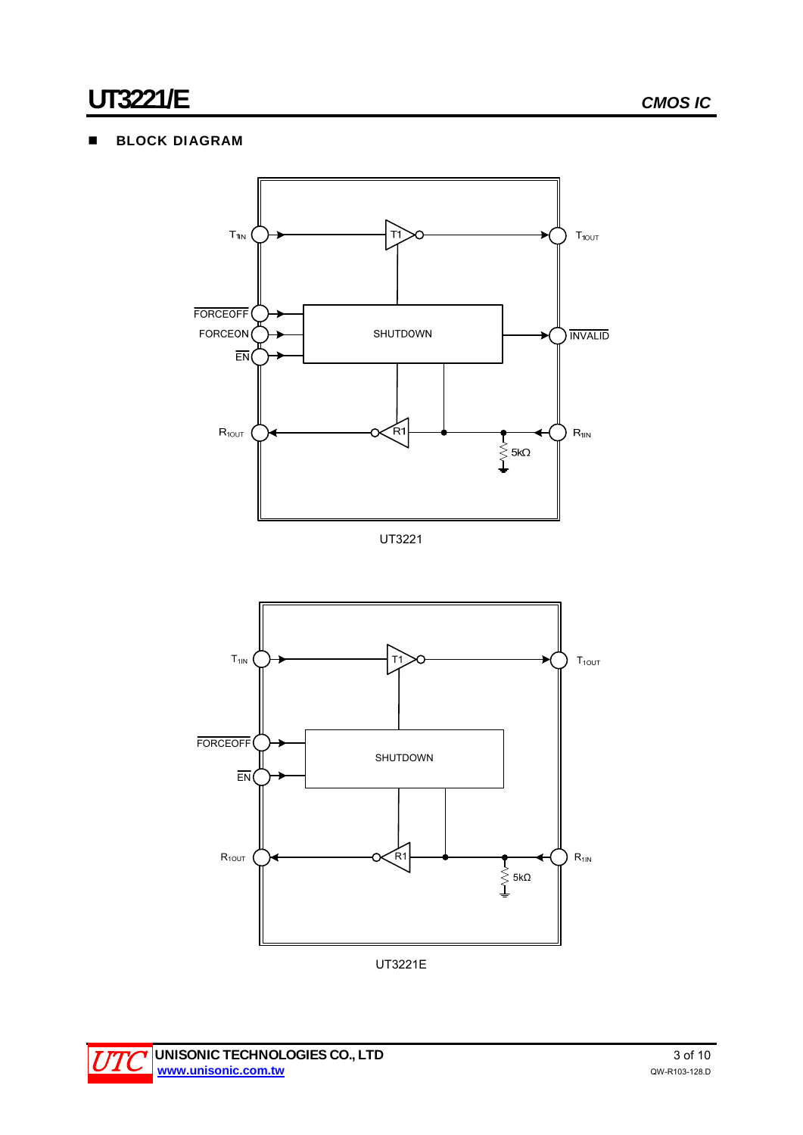# **BLOCK DIAGRAM**



UT3221



UT3221E

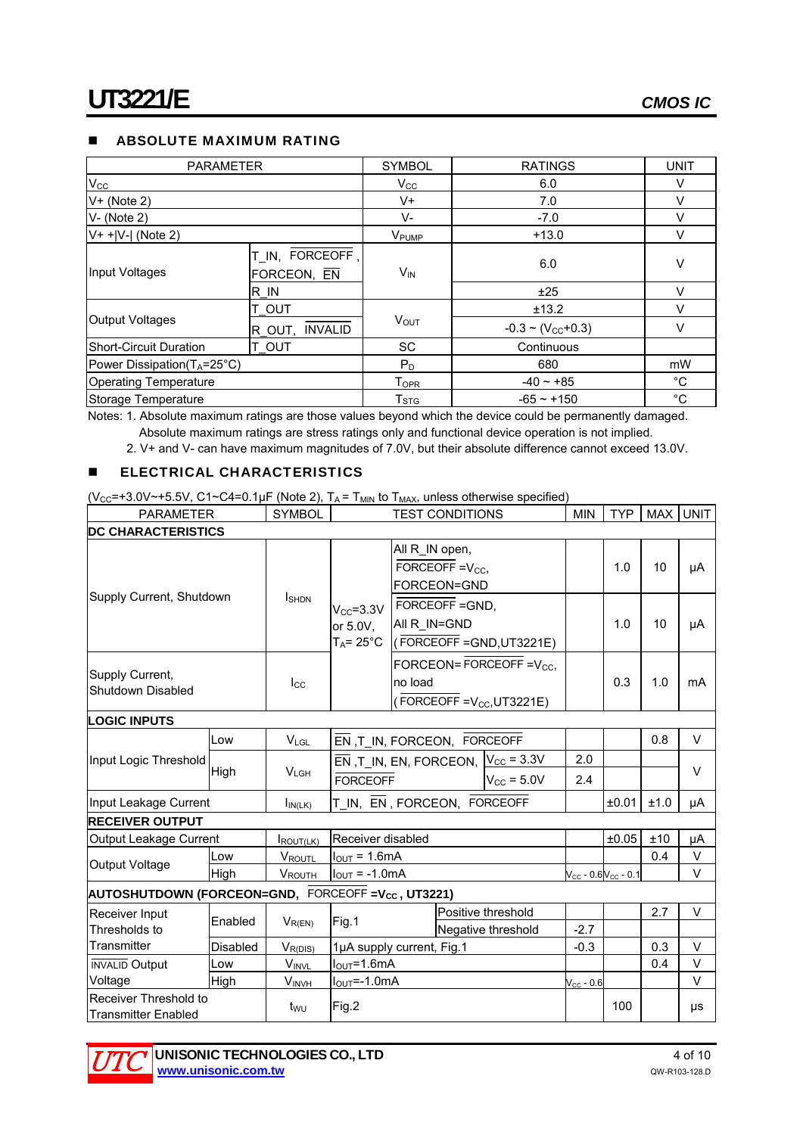## **ABSOLUTE MAXIMUM RATING**

| <b>PARAMETER</b>                         |                                | <b>SYMBOL</b>             | <b>RATINGS</b>                  | <b>UNIT</b> |
|------------------------------------------|--------------------------------|---------------------------|---------------------------------|-------------|
| $V_{\rm CC}$                             |                                | $V_{\rm CC}$              | 6.0                             | V           |
| $V+$ (Note 2)                            |                                | V+                        | 7.0                             | ν           |
| $V - (Note 2)$                           |                                | V-                        | $-7.0$                          | v           |
| $V+$ + $ V- $ (Note 2)                   |                                | <b>V</b> <sub>PUMP</sub>  | $+13.0$                         | v           |
| Input Voltages                           | T_IN, FORCEOFF,<br>FORCEON, EN | $V_{IN}$                  | 6.0                             | ٧           |
|                                          | R IN                           |                           | ±25                             | v           |
|                                          | t out                          |                           | ±13.2                           | v           |
| <b>Output Voltages</b>                   | R OUT, INVALID                 | <b>VOUT</b>               | $-0.3 \sim (V_{\text{CC}}+0.3)$ |             |
| <b>Short-Circuit Duration</b>            | T OUT                          | SC                        | Continuous                      |             |
| Power Dissipation( $T_A = 25^{\circ}C$ ) |                                | $P_D$                     | 680                             | mW          |
| <b>Operating Temperature</b>             |                                | $T_{\mathsf{OPR}}$        | $-40 - +85$                     | °C          |
| Storage Temperature                      |                                | $\mathsf{T}_{\text{STG}}$ | $-65 - +150$                    | °C          |

Notes: 1. Absolute maximum ratings are those values beyond which the device could be permanently damaged. Absolute maximum ratings are stress ratings only and functional device operation is not implied.

2. V+ and V- can have maximum magnitudes of 7.0V, but their absolute difference cannot exceed 13.0V.

### **ELECTRICAL CHARACTERISTICS**

 $(V_{CC} = +3.0V \sim +5.5V, C1 \sim C4 = 0.1\,\mu\text{F}$  (Note 2),  $T_A = T_{MIN}$  to  $T_{MAX}$ , unless otherwise specified)

| <b>PARAMETER</b>                                              |          | <b>SYMBOL</b>      |                                                                            |  | <b>TEST CONDITIONS</b>                                       |                                          | <b>MIN</b> | TYP                           |      | MAX UNIT |
|---------------------------------------------------------------|----------|--------------------|----------------------------------------------------------------------------|--|--------------------------------------------------------------|------------------------------------------|------------|-------------------------------|------|----------|
| <b>DC CHARACTERISTICS</b>                                     |          |                    |                                                                            |  |                                                              |                                          |            |                               |      |          |
|                                                               |          |                    |                                                                            |  | All R IN open,<br>FORCEOFF = $V_{CC}$<br>FORCEON=GND         |                                          |            | 1.0                           | 10   | μA       |
| Supply Current, Shutdown                                      |          | <b>I</b> SHDN      | $V_{CC} = 3.3V$<br>or 5.0V,<br>$T_A = 25^{\circ}C$                         |  | FORCEOFF = GND,<br>All R IN=GND<br>(FORCEOFF = GND, UT3221E) |                                          |            | 1.0                           | 10   | μA       |
| Supply Current,<br>Shutdown Disabled                          |          | $I_{\rm CC}$       | FORCEON= FORCEOFF = $V_{CC}$<br>no load<br>(FORCEOFF = $V_{CC}$ , UT3221E) |  |                                                              | 0.3                                      | 1.0        | mA                            |      |          |
| <b>LOGIC INPUTS</b>                                           |          |                    |                                                                            |  |                                                              |                                          |            |                               |      |          |
|                                                               | Low      | $V_{LGL}$          | EN, T IN, FORCEON, FORCEOFF                                                |  |                                                              |                                          |            |                               | 0.8  | $\vee$   |
| Input Logic Threshold                                         |          |                    | EN, T_IN, EN, FORCEON, $V_{CC} = 3.3V$                                     |  | 2.0                                                          |                                          |            |                               |      |          |
|                                                               | High     | $V_{LGH}$          | $V_{\text{CC}}$ = 5.0V<br><b>FORCEOFF</b>                                  |  | 2.4                                                          |                                          |            | $\vee$                        |      |          |
| Input Leakage Current                                         |          | $I_{IN(LK)}$       | T_IN, EN, FORCEON, FORCEOFF                                                |  |                                                              |                                          |            | ±0.01                         | ±1.0 | μA       |
| <b>RECEIVER OUTPUT</b>                                        |          |                    |                                                                            |  |                                                              |                                          |            |                               |      |          |
| Output Leakage Current                                        |          | ROUT(LK)           | Receiver disabled                                                          |  |                                                              |                                          |            | ±0.05                         | ±10  | μA       |
| Output Voltage                                                | Low      | <b>VROUTL</b>      | $I_{\text{OUT}} = 1.6 \text{mA}$                                           |  |                                                              |                                          |            |                               | 0.4  | $\vee$   |
|                                                               | High     | V <sub>ROUTH</sub> | $I_{\text{OUT}} = -1.0 \text{mA}$                                          |  |                                                              |                                          |            | $V_{CC}$ - 0.6 $V_{CC}$ - 0.1 |      | $\vee$   |
| AUTOSHUTDOWN (FORCEON=GND, FORCEOFF=V <sub>cc</sub> , UT3221) |          |                    |                                                                            |  |                                                              |                                          |            |                               |      |          |
| Receiver Input<br>Thresholds to                               | Enabled  | $V_{R(EN)}$        | Fig.1                                                                      |  |                                                              | Positive threshold<br>Negative threshold | $-2.7$     |                               | 2.7  | $\vee$   |
| Transmitter                                                   | Disabled | $V_{R(DIS)}$       | 1µA supply current, Fig.1                                                  |  |                                                              |                                          | $-0.3$     |                               | 0.3  | $\vee$   |
| <b>INVALID Output</b>                                         | Low      | $V_{INVL}$         | $I_{\text{OUT}} = 1.6 \text{mA}$                                           |  |                                                              |                                          |            |                               | 0.4  | $\vee$   |
| Voltage                                                       | High     | $V_{INVH}$         | $I_{\text{OUT}} = -1.0 \text{mA}$                                          |  | $V_{CC}$ - 0.6                                               |                                          |            | $\vee$                        |      |          |
| Receiver Threshold to<br><b>Transmitter Enabled</b>           |          | t <sub>wu</sub>    | Fig.2                                                                      |  |                                                              |                                          |            | 100                           |      | μs       |

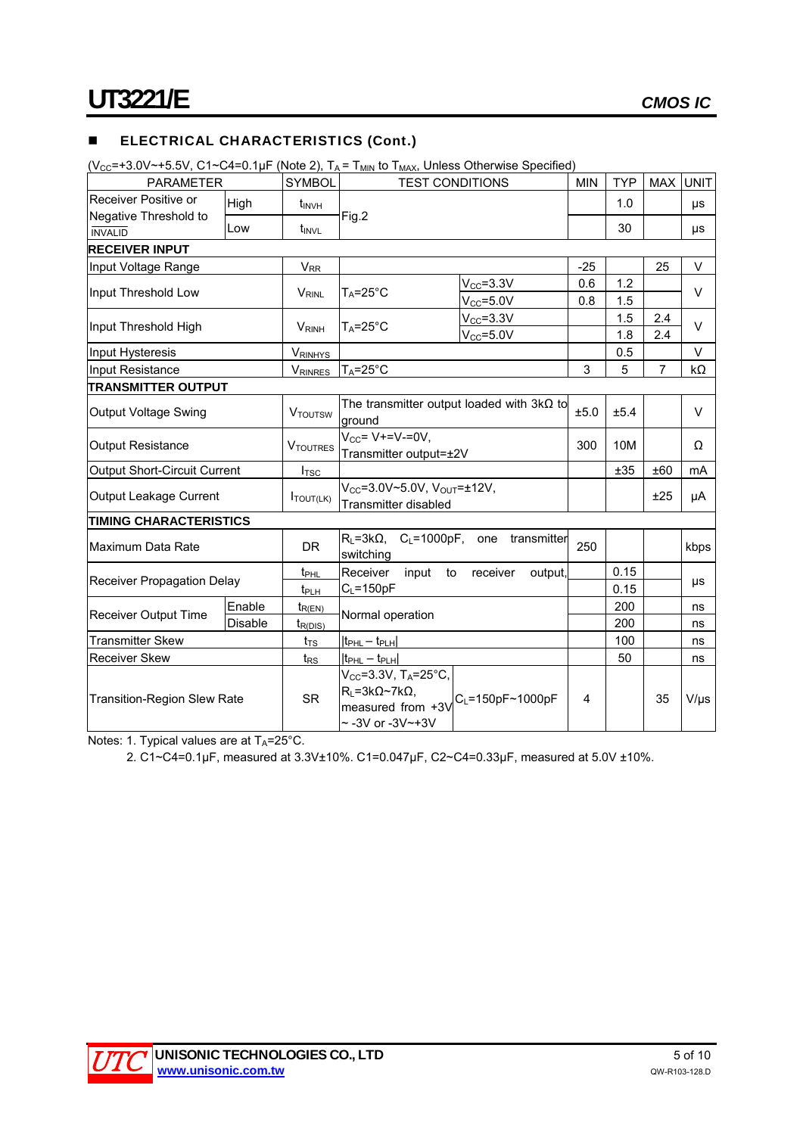## **ELECTRICAL CHARACTERISTICS (Cont.)**

 $(V_{CC}=+3.0V\rightarrow 5.5V$ , C1~C4=0.1uF (Note 2),  $T_A = T_{MIN}$  to  $T_{MAY}$ , Unless Otherwise Specified)

| $\mathsf{VCC}^{-10.0 \, \mathsf{V} \rightarrow 0.0 \, \mathsf{V}}, \mathsf{O} \vdash \mathsf{O} \vdash \mathsf{O} \vdash \mathsf{O} \vdash \mathsf{V} \mathsf{V} \mathsf{V} \mathsf{O} \mathsf{O} \mathsf{C} \mathsf{V} \mathsf{P} \mathsf{O} \mathsf{V} \mathsf{P} \mathsf{O} \mathsf{V} \mathsf{O} \mathsf{V} \mathsf{P} \mathsf{O} \mathsf{V} \mathsf{O} \mathsf{V} \mathsf{P} \mathsf{O} \mathsf{V} \mathsf{O} \mathsf{V}$ |         |                          |                                                                                                                                                          |                              |            |            |                |             |
|--------------------------------------------------------------------------------------------------------------------------------------------------------------------------------------------------------------------------------------------------------------------------------------------------------------------------------------------------------------------------------------------------------------------------------|---------|--------------------------|----------------------------------------------------------------------------------------------------------------------------------------------------------|------------------------------|------------|------------|----------------|-------------|
| <b>PARAMETER</b>                                                                                                                                                                                                                                                                                                                                                                                                               |         | <b>SYMBOL</b>            | <b>TEST CONDITIONS</b>                                                                                                                                   |                              | <b>MIN</b> | <b>TYP</b> | <b>MAX</b>     | <b>UNIT</b> |
| Receiver Positive or<br>Negative Threshold to                                                                                                                                                                                                                                                                                                                                                                                  | High    | t <sub>INVH</sub>        |                                                                                                                                                          |                              |            | 1.0        |                | μs          |
| <b>INVALID</b>                                                                                                                                                                                                                                                                                                                                                                                                                 | Low     | t <sub>INVL</sub>        | Fig.2                                                                                                                                                    |                              |            | 30         |                | μs          |
| <b>RECEIVER INPUT</b>                                                                                                                                                                                                                                                                                                                                                                                                          |         |                          |                                                                                                                                                          |                              |            |            |                |             |
| Input Voltage Range                                                                                                                                                                                                                                                                                                                                                                                                            |         | $V_{RR}$                 |                                                                                                                                                          |                              | $-25$      |            | 25             | $\vee$      |
|                                                                                                                                                                                                                                                                                                                                                                                                                                |         |                          |                                                                                                                                                          | $V_{CC} = 3.3V$              | 0.6        | 1.2        |                |             |
| Input Threshold Low                                                                                                                                                                                                                                                                                                                                                                                                            |         | <b>V<sub>RINL</sub></b>  | $T_A = 25^{\circ}C$                                                                                                                                      | $V_{CC} = 5.0V$              | 0.8        | 1.5        |                | $\vee$      |
|                                                                                                                                                                                                                                                                                                                                                                                                                                |         |                          |                                                                                                                                                          | $V_{CC} = 3.3V$              |            | 1.5        | 2.4            |             |
| Input Threshold High                                                                                                                                                                                                                                                                                                                                                                                                           |         | <b>V</b> <sub>RINH</sub> | $T_A = 25^\circ C$                                                                                                                                       | $V_{CC} = 5.0V$              |            | 1.8        | 2.4            | $\vee$      |
| Input Hysteresis                                                                                                                                                                                                                                                                                                                                                                                                               |         | <b>VRINHYS</b>           |                                                                                                                                                          |                              |            | 0.5        |                | $\vee$      |
| Input Resistance                                                                                                                                                                                                                                                                                                                                                                                                               |         | VRINRES                  | $T_A = 25^\circ C$                                                                                                                                       |                              | 3          | 5          | $\overline{7}$ | kΩ          |
| <b>TRANSMITTER OUTPUT</b>                                                                                                                                                                                                                                                                                                                                                                                                      |         |                          |                                                                                                                                                          |                              |            |            |                |             |
| <b>Output Voltage Swing</b>                                                                                                                                                                                                                                                                                                                                                                                                    |         | <b>VTOUTSW</b>           | The transmitter output loaded with $3k\Omega$ to<br>ground                                                                                               |                              | ±5.0       | ±5.4       |                | $\vee$      |
| <b>Output Resistance</b>                                                                                                                                                                                                                                                                                                                                                                                                       |         | VTOUTRES                 | $V_{CC} = V+=V=-0V,$<br>Transmitter output=±2V                                                                                                           |                              | 300        | 10M        |                | Ω           |
| <b>Output Short-Circuit Current</b>                                                                                                                                                                                                                                                                                                                                                                                            |         | $I_{\mathsf{TSC}}$       |                                                                                                                                                          |                              |            | ±35        | ±60            | mA          |
| Output Leakage Current                                                                                                                                                                                                                                                                                                                                                                                                         |         | $I_{\text{TOUT(LK)}}$    | $V_{CC} = 3.0V - 5.0V$ , $V_{OUT} = \pm 12V$ ,<br><b>Transmitter disabled</b>                                                                            |                              |            |            | ±25            | μA          |
| <b>TIMING CHARACTERISTICS</b>                                                                                                                                                                                                                                                                                                                                                                                                  |         |                          |                                                                                                                                                          |                              |            |            |                |             |
| Maximum Data Rate                                                                                                                                                                                                                                                                                                                                                                                                              |         | DR.                      | $R_L = 3k\Omega$ , C <sub>L</sub> =1000pF, one transmitter<br>switching                                                                                  |                              | 250        |            |                | kbps        |
|                                                                                                                                                                                                                                                                                                                                                                                                                                |         | $t_{\text{PHL}}$         | Receiver                                                                                                                                                 | input to receiver<br>output. |            | 0.15       |                |             |
| Receiver Propagation Delay                                                                                                                                                                                                                                                                                                                                                                                                     |         | t <sub>PLH</sub>         | $C_L = 150pF$                                                                                                                                            |                              |            | 0.15       |                | μs          |
|                                                                                                                                                                                                                                                                                                                                                                                                                                | Enable  | $t_{R(EN)}$              |                                                                                                                                                          |                              |            | 200        |                | ns          |
| <b>Receiver Output Time</b>                                                                                                                                                                                                                                                                                                                                                                                                    | Disable | $t_{R(DIS)}$             | Normal operation                                                                                                                                         |                              |            | 200        |                | ns          |
| <b>Transmitter Skew</b>                                                                                                                                                                                                                                                                                                                                                                                                        |         | $t_{\text{TS}}$          | <u> t<sub>PHL</sub> – t<sub>PLH</sub> </u>                                                                                                               |                              |            | 100        |                | ns          |
| <b>Receiver Skew</b>                                                                                                                                                                                                                                                                                                                                                                                                           |         | $t_{RS}$                 | $ t_{\sf PHL}-t_{\sf PLH} $                                                                                                                              |                              |            | 50         |                | ns          |
| <b>Transition-Region Slew Rate</b>                                                                                                                                                                                                                                                                                                                                                                                             |         | <b>SR</b>                | $V_{CC}$ =3.3V, T <sub>A</sub> =25°C,<br>$R_L = 3k\Omega \sim 7k\Omega$ ,<br>$ measured$ from +3V $ C_{L}=150$ pF~1000pF<br>$\sim$ -3V or -3V $\sim$ +3V |                              | 4          |            | 35             | $V/\mu s$   |

Notes: 1. Typical values are at  $T_A = 25^{\circ}$ C.

2. C1~C4=0.1µF, measured at 3.3V±10%. C1=0.047µF, C2~C4=0.33µF, measured at 5.0V ±10%.

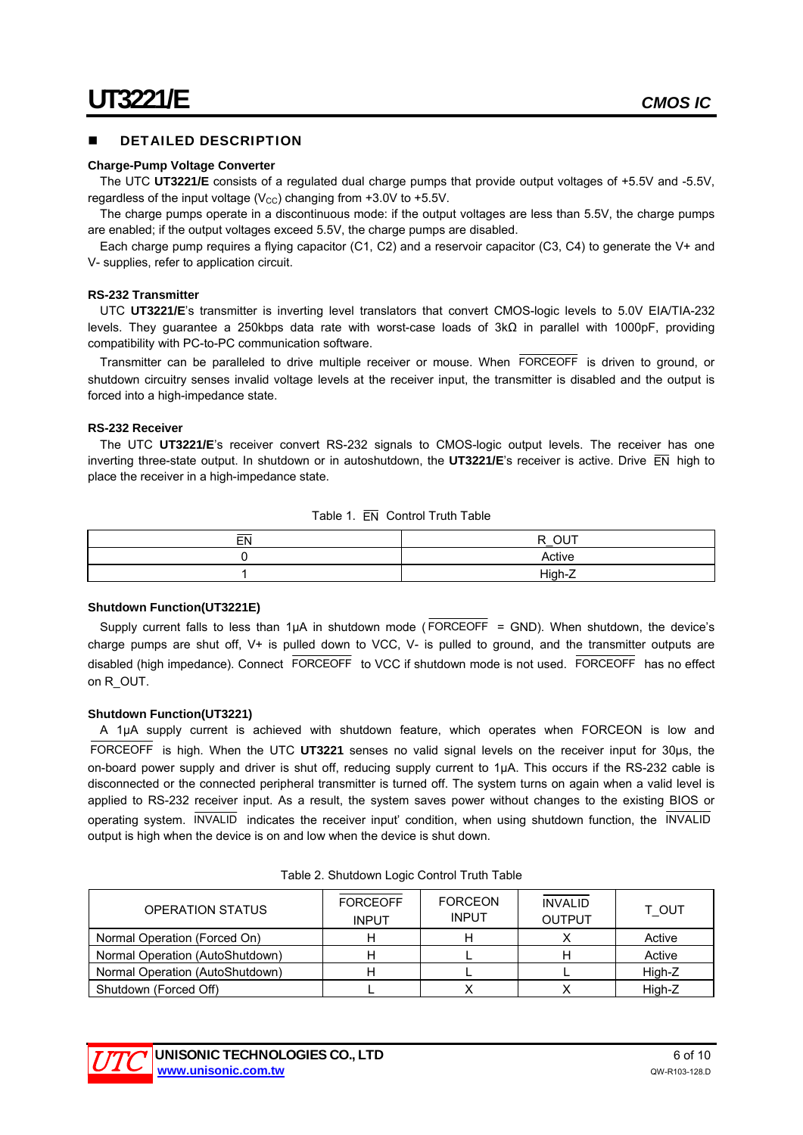#### DETAILED DESCRIPTION

#### **Charge-Pump Voltage Converter**

The UTC **UT3221/E** consists of a regulated dual charge pumps that provide output voltages of +5.5V and -5.5V, regardless of the input voltage ( $V_{\text{CC}}$ ) changing from +3.0V to +5.5V.

The charge pumps operate in a discontinuous mode: if the output voltages are less than 5.5V, the charge pumps are enabled; if the output voltages exceed 5.5V, the charge pumps are disabled.

Each charge pump requires a flying capacitor (C1, C2) and a reservoir capacitor (C3, C4) to generate the V+ and V- supplies, refer to application circuit.

#### **RS-232 Transmitter**

UTC **UT3221/E**'s transmitter is inverting level translators that convert CMOS-logic levels to 5.0V EIA/TIA-232 levels. They guarantee a 250kbps data rate with worst-case loads of 3kΩ in parallel with 1000pF, providing compatibility with PC-to-PC communication software.

Transmitter can be paralleled to drive multiple receiver or mouse. When FORCEOFF is driven to ground, or shutdown circuitry senses invalid voltage levels at the receiver input, the transmitter is disabled and the output is forced into a high-impedance state.

#### **RS-232 Receiver**

The UTC **UT3221/E**'s receiver convert RS-232 signals to CMOS-logic output levels. The receiver has one inverting three-state output. In shutdown or in autoshutdown, the **UT3221/E**'s receiver is active. Drive EN high to place the receiver in a high-impedance state.

| Table 1. EN Control Truth Table |  |  |  |  |
|---------------------------------|--|--|--|--|
|---------------------------------|--|--|--|--|

| $E$ <sub>N</sub> | $\overline{\bigcirc}$ $\overline{\bigcirc}$<br>D. |
|------------------|---------------------------------------------------|
|                  | Active                                            |
|                  | High-Z                                            |

#### **Shutdown Function(UT3221E)**

Supply current falls to less than 1µA in shutdown mode ( $\overline{FORCEOFF}$  = GND). When shutdown, the device's charge pumps are shut off, V+ is pulled down to VCC, V- is pulled to ground, and the transmitter outputs are disabled (high impedance). Connect FORCEOFF to VCC if shutdown mode is not used. FORCEOFF has no effect on R\_OUT.

#### **Shutdown Function(UT3221)**

A 1µA supply current is achieved with shutdown feature, which operates when FORCEON is low and FORCEOFF is high. When the UTC **UT3221** senses no valid signal levels on the receiver input for 30µs, the on-board power supply and driver is shut off, reducing supply current to 1µA. This occurs if the RS-232 cable is disconnected or the connected peripheral transmitter is turned off. The system turns on again when a valid level is applied to RS-232 receiver input. As a result, the system saves power without changes to the existing BIOS or operating system. INVALID indicates the receiver input' condition, when using shutdown function, the INVALID output is high when the device is on and low when the device is shut down.

| <b>OPERATION STATUS</b>         | <b>FORCEOFF</b><br><b>INPUT</b> | <b>FORCEON</b><br><b>INPUT</b> | <b>INVALID</b><br><b>OUTPUT</b> | T OUT  |
|---------------------------------|---------------------------------|--------------------------------|---------------------------------|--------|
| Normal Operation (Forced On)    |                                 |                                |                                 | Active |
| Normal Operation (AutoShutdown) |                                 |                                |                                 | Active |
| Normal Operation (AutoShutdown) |                                 |                                |                                 | High-Z |
| Shutdown (Forced Off)           |                                 |                                |                                 | High-Z |

Table 2. Shutdown Logic Control Truth Table

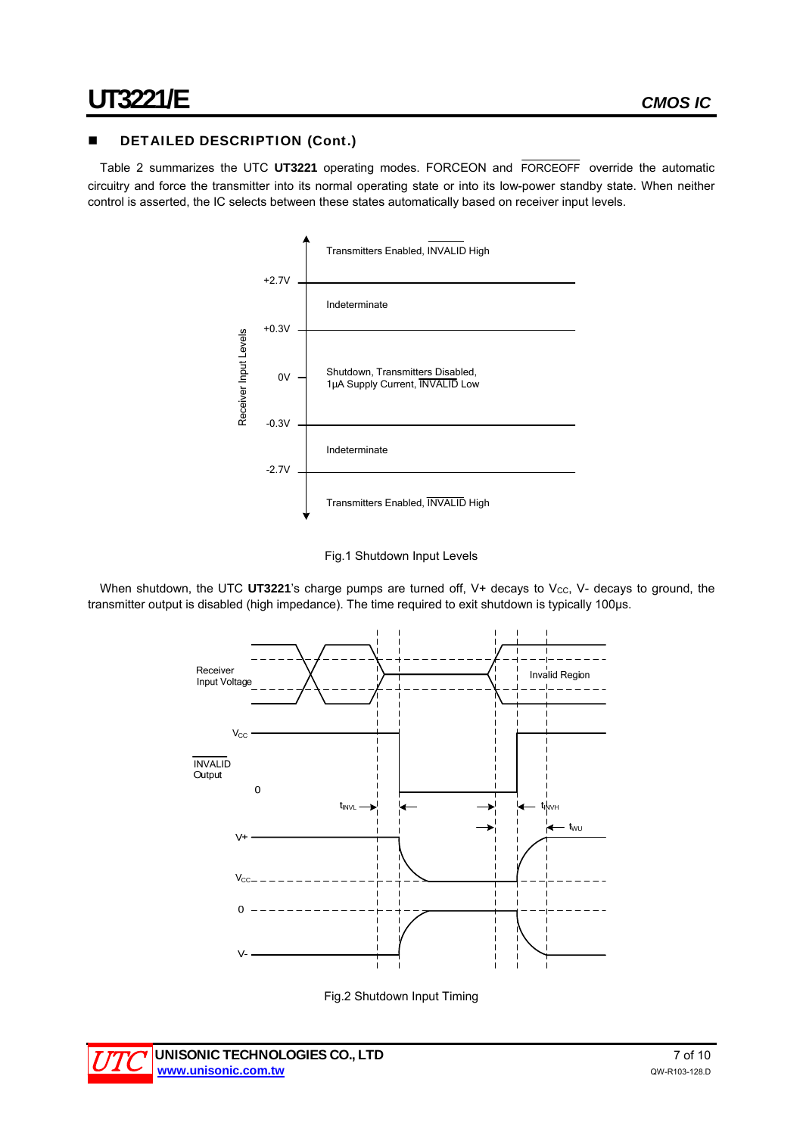### DETAILED DESCRIPTION (Cont.)

Table 2 summarizes the UTC **UT3221** operating modes. FORCEON and FORCEOFF override the automatic circuitry and force the transmitter into its normal operating state or into its low-power standby state. When neither control is asserted, the IC selects between these states automatically based on receiver input levels.



Fig.1 Shutdown Input Levels

When shutdown, the UTC UT3221's charge pumps are turned off, V+ decays to V<sub>CC</sub>, V- decays to ground, the transmitter output is disabled (high impedance). The time required to exit shutdown is typically 100µs.





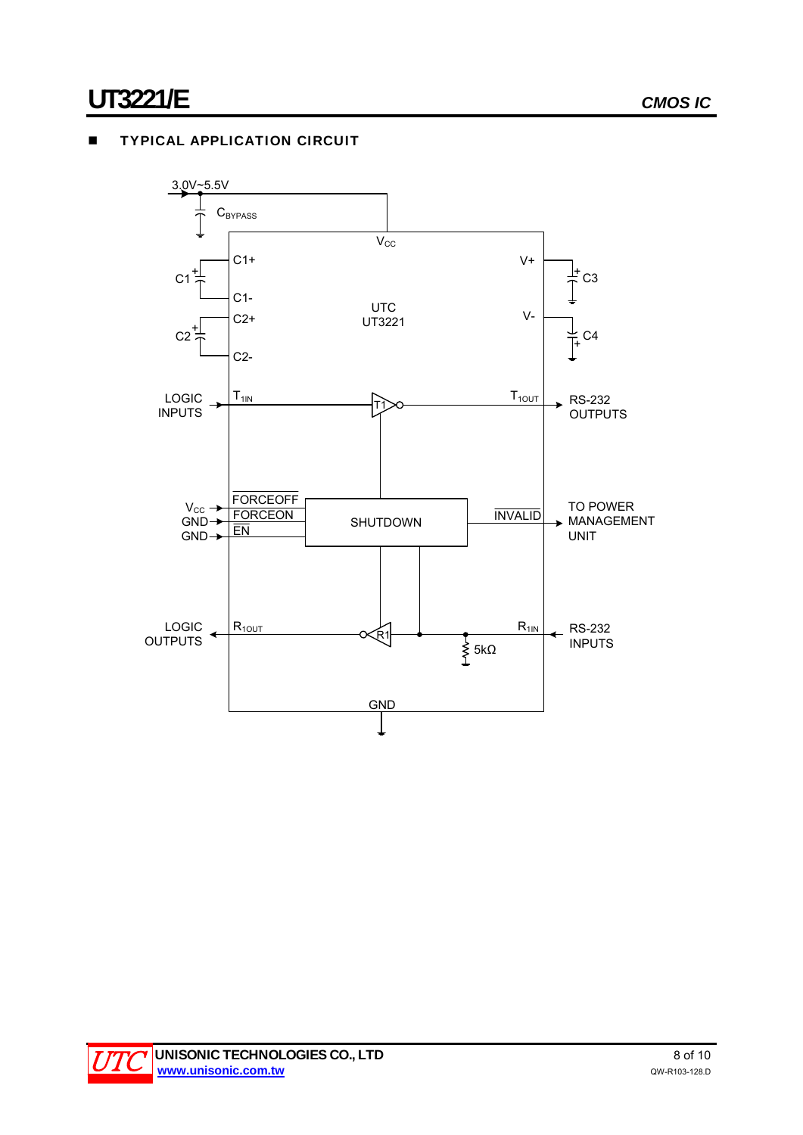# **TYPICAL APPLICATION CIRCUIT**



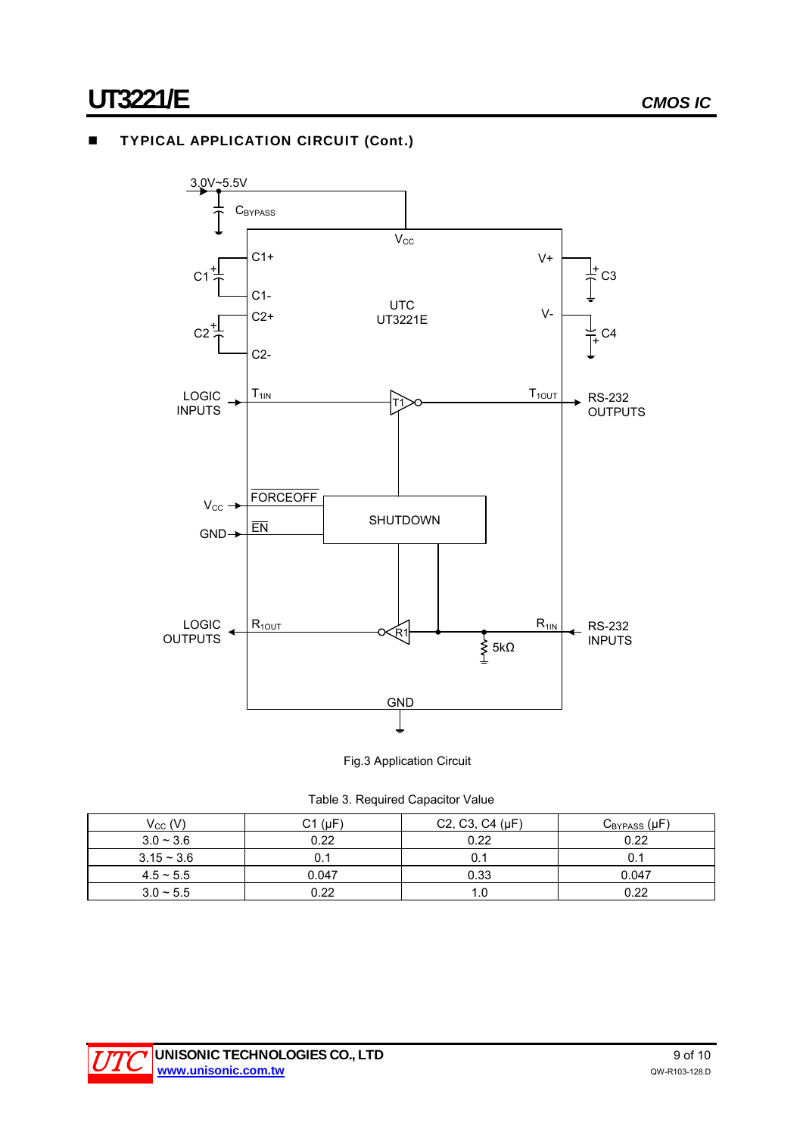# **TYPICAL APPLICATION CIRCUIT (Cont.)**



Fig.3 Application Circuit

|  |  | Table 3. Required Capacitor Value |  |
|--|--|-----------------------------------|--|
|--|--|-----------------------------------|--|

| $\rm V_{CC}$ (V) | $C1$ ( $\mu$ F) | C2, C3, C4 (µF) | $C_{BYPASS}(\mu F)$ |
|------------------|-----------------|-----------------|---------------------|
| $3.0 - 3.6$      | 0.22            | 0.22            | 0.22                |
| $3.15 - 3.6$     |                 | 0.:             |                     |
| $4.5 \sim 5.5$   | 0.047           | 0.33            | 0.047               |
| $3.0 \sim 5.5$   | 0.22            | 1.0             | 0.22                |